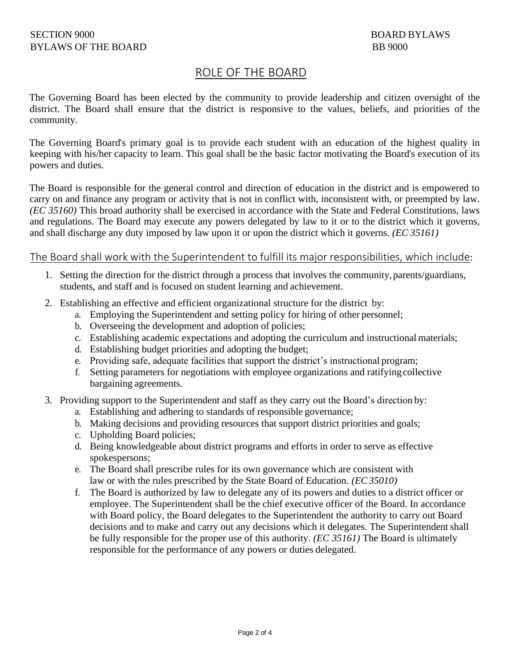# ROLE OF THE BOARD

The Governing Board has been elected by the community to provide leadership and citizen oversight of the district. The Board shall ensure that the district is responsive to the values, beliefs, and priorities of the community.

The Governing Board's primary goal is to provide each student with an education of the highest quality in keeping with his/her capacity to learn. This goal shall be the basic factor motivating the Board's execution of its powers and duties.

The Board is responsible for the general control and direction of education in the district and is empowered to carry on and finance any program or activity that is not in conflict with, inconsistent with, or preempted by law. *(EC 35160)* This broad authority shall be exercised in accordance with the State and Federal Constitutions, laws and regulations. The Board may execute any powers delegated by law to it or to the district which it governs, and shall discharge any duty imposed by law upon it or upon the district which it governs. *(EC 35161)*

## The Board shall work with the Superintendent to fulfill its major responsibilities, which include:

- 1. Setting the direction for the district through a process that involves the community,parents/guardians, students, and staff and is focused on student learning and achievement.
- 2. Establishing an effective and efficient organizational structure for the district by:
	- a. Employing the Superintendent and setting policy for hiring of other personnel;
	- b. Overseeing the development and adoption of policies;
	- c. Establishing academic expectations and adopting the curriculum and instructional materials;
	- d. Establishing budget priorities and adopting the budget;
	- e. Providing safe, adequate facilities that support the district's instructional program;
	- f. Setting parameters for negotiations with employee organizations and ratifyingcollective bargaining agreements.
- 3. Providing support to the Superintendent and staff as they carry out the Board's direction by:
	- a. Establishing and adhering to standards of responsible governance;
	- b. Making decisions and providing resources that support district priorities and goals;
	- c. Upholding Board policies;
	- d. Being knowledgeable about district programs and efforts in order to serve as effective spokespersons;
	- e. The Board shall prescribe rules for its own governance which are consistent with law or with the rules prescribed by the State Board of Education. *(EC35010)*
	- f. The Board is authorized by law to delegate any of its powers and duties to a district officer or employee. The Superintendent shall be the chief executive officer of the Board. In accordance with Board policy, the Board delegates to the Superintendent the authority to carry out Board decisions and to make and carry out any decisions which it delegates. The Superintendent shall be fully responsible for the proper use of this authority. *(EC 35161)* The Board is ultimately responsible for the performance of any powers or duties delegated.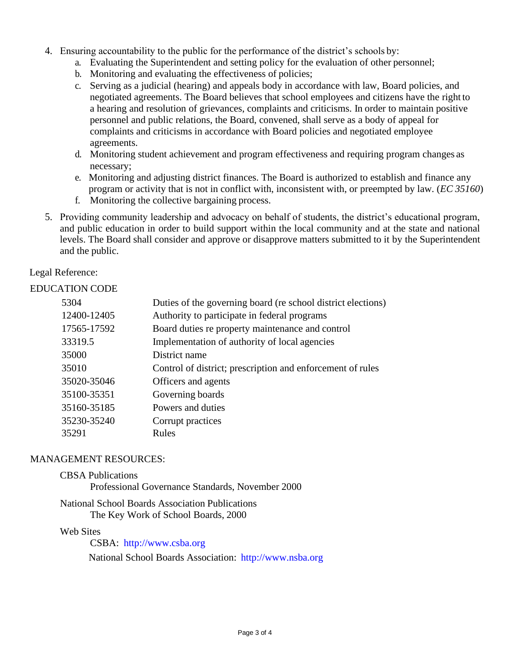- 4. Ensuring accountability to the public for the performance of the district's schools by:
	- a. Evaluating the Superintendent and setting policy for the evaluation of other personnel;
	- b. Monitoring and evaluating the effectiveness of policies;
	- c. Serving as a judicial (hearing) and appeals body in accordance with law, Board policies, and negotiated agreements. The Board believes that school employees and citizens have the right to a hearing and resolution of grievances, complaints and criticisms. In order to maintain positive personnel and public relations, the Board, convened, shall serve as a body of appeal for complaints and criticisms in accordance with Board policies and negotiated employee agreements.
	- d. Monitoring student achievement and program effectiveness and requiring program changes as necessary;
	- e. Monitoring and adjusting district finances. The Board is authorized to establish and finance any program or activity that is not in conflict with, inconsistent with, or preempted by law. (*EC 35160*)
	- f. Monitoring the collective bargaining process.
- 5. Providing community leadership and advocacy on behalf of students, the district's educational program, and public education in order to build support within the local community and at the state and national levels. The Board shall consider and approve or disapprove matters submitted to it by the Superintendent and the public.

Legal Reference:

### EDUCATION CODE

| 5304        | Duties of the governing board (re school district elections) |
|-------------|--------------------------------------------------------------|
| 12400-12405 | Authority to participate in federal programs                 |
| 17565-17592 | Board duties re property maintenance and control             |
| 33319.5     | Implementation of authority of local agencies                |
| 35000       | District name                                                |
| 35010       | Control of district; prescription and enforcement of rules   |
| 35020-35046 | Officers and agents                                          |
| 35100-35351 | Governing boards                                             |
| 35160-35185 | Powers and duties                                            |
| 35230-35240 | Corrupt practices                                            |
| 35291       | Rules                                                        |
|             |                                                              |

#### MANAGEMENT RESOURCES:

#### CBSA Publications

Professional Governance Standards, November 2000

#### National School Boards Association Publications The Key Work of School Boards, 2000

#### Web Sites

CSBA: [http://www.csba.org](http://www.csba.org/)

National School Boards Association: [http://www.nsba.org](http://www.nsba.org/)